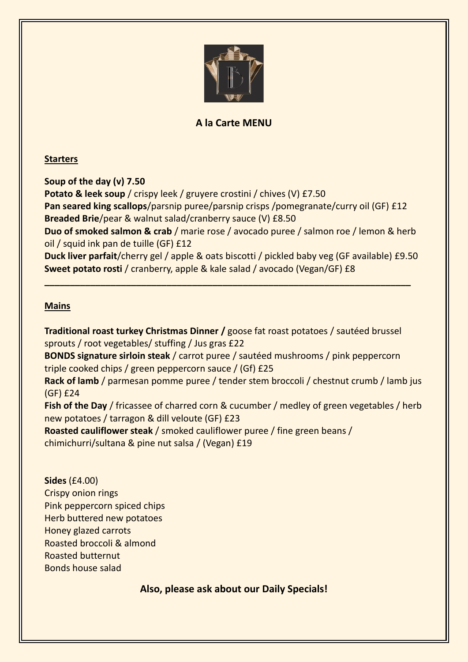

# **A la Carte MENU**

### **Starters**

**Soup of the day (v) 7.50 Potato & leek soup** / crispy leek / gruyere crostini / chives (V) £7.50 **Pan seared king scallops**/parsnip puree/parsnip crisps /pomegranate/curry oil (GF) £12 **Breaded Brie**/pear & walnut salad/cranberry sauce (V) £8.50 **Duo of smoked salmon & crab** / marie rose / avocado puree / salmon roe / lemon & herb oil / squid ink pan de tuille (GF) £12 **Duck liver parfait**/cherry gel / apple & oats biscotti / pickled baby veg (GF available) £9.50 **Sweet potato rosti** / cranberry, apple & kale salad / avocado (Vegan/GF) £8

**\_\_\_\_\_\_\_\_\_\_\_\_\_\_\_\_\_\_\_\_\_\_\_\_\_\_\_\_\_\_\_\_\_\_\_\_\_\_\_\_\_\_\_\_\_\_\_\_\_\_\_\_\_\_\_\_\_\_\_\_\_\_\_\_\_\_\_\_\_\_\_\_**

### **Mains**

**Traditional roast turkey Christmas Dinner /** goose fat roast potatoes / sautéed brussel sprouts / root vegetables/ stuffing / Jus gras £22 **BONDS signature sirloin steak** / carrot puree / sautéed mushrooms / pink peppercorn triple cooked chips / green peppercorn sauce / (Gf) £25 **Rack of lamb** / parmesan pomme puree / tender stem broccoli / chestnut crumb / lamb jus (GF) £24 **Fish of the Day** / fricassee of charred corn & cucumber / medley of green vegetables / herb new potatoes / tarragon & dill veloute (GF) £23 **Roasted cauliflower steak** / smoked cauliflower puree / fine green beans / chimichurri/sultana & pine nut salsa / (Vegan) £19

**Sides** (£4.00) Crispy onion rings Pink peppercorn spiced chips Herb buttered new potatoes Honey glazed carrots Roasted broccoli & almond Roasted butternut Bonds house salad

# **Also, please ask about our Daily Specials!**